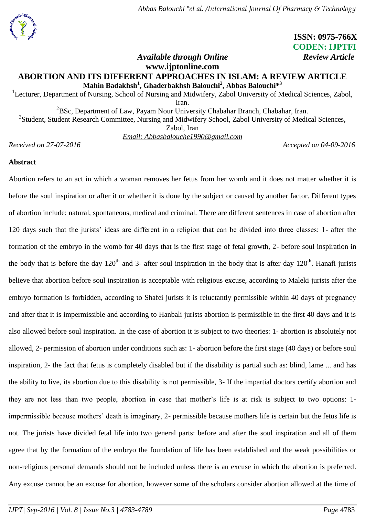

 **ISSN: 0975-766X CODEN: IJPTFI** *Available through Online* Review Article

# **www.ijptonline.com**

# **ABORTION AND ITS DIFFERENT APPROACHES IN ISLAM: A REVIEW ARTICLE Mahin Badakhsh<sup>1</sup> , Ghaderbakhsh Balouchi<sup>2</sup> , Abbas Balouchi\* 3**

<sup>1</sup>Lecturer, Department of Nursing, School of Nursing and Midwifery, Zabol University of Medical Sciences, Zabol, Iran.

<sup>2</sup>BSc, Department of Law, Payam Nour University Chabahar Branch, Chabahar, Iran. <sup>3</sup>Student, Student Research Committee, Nursing and Midwifery School, Zabol University of Medical Sciences, Zabol, Iran *Email: [Abbasbalouche1990@gmail.com](mailto:Abbasbalouche1990@gmail.com)*

*Received on 27-07-2016 Accepted on 04-09-2016*

# **Abstract**

Abortion refers to an act in which a woman removes her fetus from her womb and it does not matter whether it is before the soul inspiration or after it or whether it is done by the subject or caused by another factor. Different types of abortion include: natural, spontaneous, medical and criminal. There are different sentences in case of abortion after 120 days such that the jurists' ideas are different in a religion that can be divided into three classes: 1- after the formation of the embryo in the womb for 40 days that is the first stage of fetal growth, 2- before soul inspiration in the body that is before the day  $120<sup>th</sup>$  and 3- after soul inspiration in the body that is after day  $120<sup>th</sup>$ . Hanafi jurists believe that abortion before soul inspiration is acceptable with religious excuse, according to Maleki jurists after the embryo formation is forbidden, according to Shafei jurists it is reluctantly permissible within 40 days of pregnancy and after that it is impermissible and according to Hanbali jurists abortion is permissible in the first 40 days and it is also allowed before soul inspiration. In the case of abortion it is subject to two theories: 1- abortion is absolutely not allowed, 2- permission of abortion under conditions such as: 1- abortion before the first stage (40 days) or before soul inspiration, 2- the fact that fetus is completely disabled but if the disability is partial such as: blind, lame ... and has the ability to live, its abortion due to this disability is not permissible, 3- If the impartial doctors certify abortion and they are not less than two people, abortion in case that mother's life is at risk is subject to two options: 1 impermissible because mothers' death is imaginary, 2- permissible because mothers life is certain but the fetus life is not. The jurists have divided fetal life into two general parts: before and after the soul inspiration and all of them agree that by the formation of the embryo the foundation of life has been established and the weak possibilities or non-religious personal demands should not be included unless there is an excuse in which the abortion is preferred. Any excuse cannot be an excuse for abortion, however some of the scholars consider abortion allowed at the time of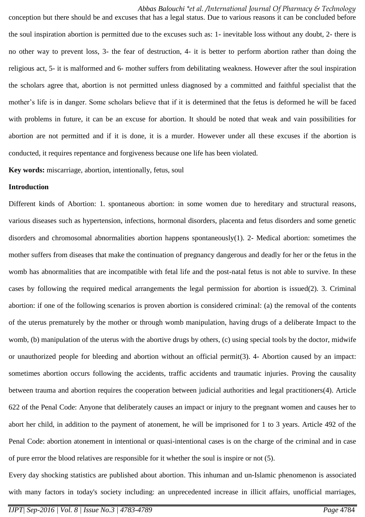*Abbas Balouchi \*et al. /International Journal Of Pharmacy & Technology* conception but there should be and excuses that has a legal status. Due to various reasons it can be concluded before the soul inspiration abortion is permitted due to the excuses such as: 1- inevitable loss without any doubt, 2- there is no other way to prevent loss, 3- the fear of destruction, 4- it is better to perform abortion rather than doing the religious act, 5- it is malformed and 6- mother suffers from debilitating weakness. However after the soul inspiration the scholars agree that, abortion is not permitted unless diagnosed by a committed and faithful specialist that the mother's life is in danger. Some scholars believe that if it is determined that the fetus is deformed he will be faced with problems in future, it can be an excuse for abortion. It should be noted that weak and vain possibilities for abortion are not permitted and if it is done, it is a murder. However under all these excuses if the abortion is conducted, it requires repentance and forgiveness because one life has been violated.

**Key words:** miscarriage, abortion, intentionally, fetus, soul

#### **Introduction**

Different kinds of Abortion: 1. spontaneous abortion: in some women due to hereditary and structural reasons, various diseases such as hypertension, infections, hormonal disorders, placenta and fetus disorders and some genetic disorders and chromosomal abnormalities abortion happens spontaneously[\(1\)](#page-4-0). 2- Medical abortion: sometimes the mother suffers from diseases that make the continuation of pregnancy dangerous and deadly for her or the fetus in the womb has abnormalities that are incompatible with fetal life and the post-natal fetus is not able to survive. In these cases by following the required medical arrangements the legal permission for abortion is issued[\(2\)](#page-4-1). 3. Criminal abortion: if one of the following scenarios is proven abortion is considered criminal: (a) the removal of the contents of the uterus prematurely by the mother or through womb manipulation, having drugs of a deliberate Impact to the womb, (b) manipulation of the uterus with the abortive drugs by others, (c) using special tools by the doctor, midwife or unauthorized people for bleeding and abortion without an official permit[\(3\)](#page-4-2). 4- Abortion caused by an impact: sometimes abortion occurs following the accidents, traffic accidents and traumatic injuries. Proving the causality between trauma and abortion requires the cooperation between judicial authorities and legal practitioners[\(4\)](#page-5-0). Article 622 of the Penal Code: Anyone that deliberately causes an impact or injury to the pregnant women and causes her to abort her child, in addition to the payment of atonement, he will be imprisoned for 1 to 3 years. Article 492 of the Penal Code: abortion atonement in intentional or quasi-intentional cases is on the charge of the criminal and in case of pure error the blood relatives are responsible for it whether the soul is inspire or not [\(5\)](#page-5-1).

Every day shocking statistics are published about abortion. This inhuman and un-Islamic phenomenon is associated with many factors in today's society including: an unprecedented increase in illicit affairs, unofficial marriages,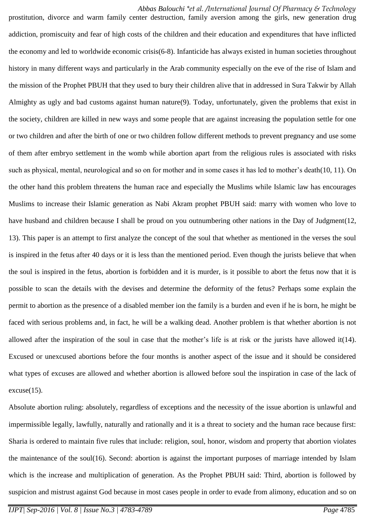*Abbas Balouchi \*et al. /International Journal Of Pharmacy & Technology* prostitution, divorce and warm family center destruction, family aversion among the girls, new generation drug addiction, promiscuity and fear of high costs of the children and their education and expenditures that have inflicted the economy and led to worldwide economic crisis[\(6-8\)](#page-5-2). Infanticide has always existed in human societies throughout history in many different ways and particularly in the Arab community especially on the eve of the rise of Islam and the mission of the Prophet PBUH that they used to bury their children alive that in addressed in Sura Takwir by Allah Almighty as ugly and bad customs against human nature[\(9\)](#page-5-3). Today, unfortunately, given the problems that exist in the society, children are killed in new ways and some people that are against increasing the population settle for one or two children and after the birth of one or two children follow different methods to prevent pregnancy and use some of them after embryo settlement in the womb while abortion apart from the religious rules is associated with risks such as physical, mental, neurological and so on for mother and in some cases it has led to mother's death[\(10,](#page-5-4) [11\)](#page-5-5). On the other hand this problem threatens the human race and especially the Muslims while Islamic law has encourages Muslims to increase their Islamic generation as Nabi Akram prophet PBUH said: marry with women who love to have husband and children because I shall be proud on you outnumbering other nations in the Day of Judgment[\(12,](#page-5-6) [13\)](#page-5-7). This paper is an attempt to first analyze the concept of the soul that whether as mentioned in the verses the soul is inspired in the fetus after 40 days or it is less than the mentioned period. Even though the jurists believe that when the soul is inspired in the fetus, abortion is forbidden and it is murder, is it possible to abort the fetus now that it is possible to scan the details with the devises and determine the deformity of the fetus? Perhaps some explain the permit to abortion as the presence of a disabled member ion the family is a burden and even if he is born, he might be faced with serious problems and, in fact, he will be a walking dead. Another problem is that whether abortion is not allowed after the inspiration of the soul in case that the mother's life is at risk or the jurists have allowed it[\(14\)](#page-5-8). Excused or unexcused abortions before the four months is another aspect of the issue and it should be considered what types of excuses are allowed and whether abortion is allowed before soul the inspiration in case of the lack of excuse[\(15\)](#page-5-9).

Absolute abortion ruling: absolutely, regardless of exceptions and the necessity of the issue abortion is unlawful and impermissible legally, lawfully, naturally and rationally and it is a threat to society and the human race because first: Sharia is ordered to maintain five rules that include: religion, soul, honor, wisdom and property that abortion violates the maintenance of the soul[\(16\)](#page-5-10). Second: abortion is against the important purposes of marriage intended by Islam which is the increase and multiplication of generation. As the Prophet PBUH said: Third, abortion is followed by suspicion and mistrust against God because in most cases people in order to evade from alimony, education and so on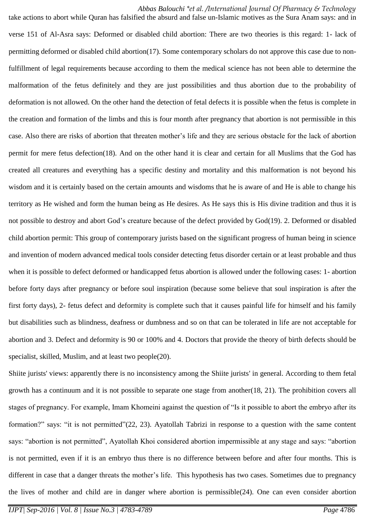*Abbas Balouchi \*et al. /International Journal Of Pharmacy & Technology* take actions to abort while Quran has falsified the absurd and false un-Islamic motives as the Sura Anam says: and in

verse 151 of Al-Asra says: Deformed or disabled child abortion: There are two theories is this regard: 1- lack of permitting deformed or disabled child abortion[\(17\)](#page-5-11). Some contemporary scholars do not approve this case due to nonfulfillment of legal requirements because according to them the medical science has not been able to determine the malformation of the fetus definitely and they are just possibilities and thus abortion due to the probability of deformation is not allowed. On the other hand the detection of fetal defects it is possible when the fetus is complete in the creation and formation of the limbs and this is four month after pregnancy that abortion is not permissible in this case. Also there are risks of abortion that threaten mother's life and they are serious obstacle for the lack of abortion permit for mere fetus defection[\(18\)](#page-6-0). And on the other hand it is clear and certain for all Muslims that the God has created all creatures and everything has a specific destiny and mortality and this malformation is not beyond his wisdom and it is certainly based on the certain amounts and wisdoms that he is aware of and He is able to change his territory as He wished and form the human being as He desires. As He says this is His divine tradition and thus it is not possible to destroy and abort God's creature because of the defect provided by God[\(19\)](#page-6-1). 2. Deformed or disabled child abortion permit: This group of contemporary jurists based on the significant progress of human being in science and invention of modern advanced medical tools consider detecting fetus disorder certain or at least probable and thus when it is possible to defect deformed or handicapped fetus abortion is allowed under the following cases: 1- abortion before forty days after pregnancy or before soul inspiration (because some believe that soul inspiration is after the first forty days), 2- fetus defect and deformity is complete such that it causes painful life for himself and his family but disabilities such as blindness, deafness or dumbness and so on that can be tolerated in life are not acceptable for abortion and 3. Defect and deformity is 90 or 100% and 4. Doctors that provide the theory of birth defects should be specialist, skilled, Muslim, and at least two people[\(20\)](#page-6-2).

Shiite jurists' views: apparently there is no inconsistency among the Shiite jurists' in general. According to them fetal growth has a continuum and it is not possible to separate one stage from another[\(18,](#page-6-0) [21\)](#page-6-3). The prohibition covers all stages of pregnancy. For example, Imam Khomeini against the question of "Is it possible to abort the embryo after its formation?" says: "it is not permitted"[\(22,](#page-6-4) [23\)](#page-6-5). Ayatollah Tabrizi in response to a question with the same content says: "abortion is not permitted", Ayatollah Khoi considered abortion impermissible at any stage and says: "abortion is not permitted, even if it is an embryo thus there is no difference between before and after four months. This is different in case that a danger threats the mother's life. This hypothesis has two cases. Sometimes due to pregnancy the lives of mother and child are in danger where abortion is permissible[\(24\)](#page-6-6). One can even consider abortion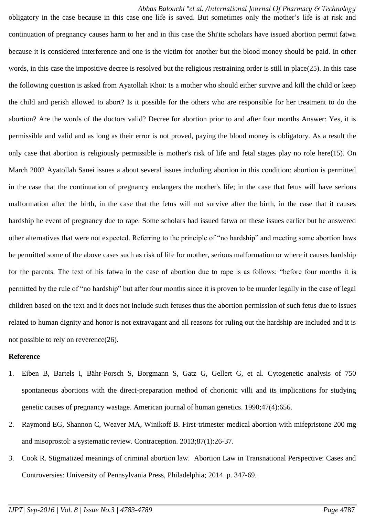obligatory in the case because in this case one life is saved. But sometimes only the mother's life is at risk and continuation of pregnancy causes harm to her and in this case the Shi'ite scholars have issued abortion permit fatwa because it is considered interference and one is the victim for another but the blood money should be paid. In other words, in this case the impositive decree is resolved but the religious restraining order is still in place[\(25\)](#page-6-7). In this case the following question is asked from Ayatollah Khoi: Is a mother who should either survive and kill the child or keep the child and perish allowed to abort? Is it possible for the others who are responsible for her treatment to do the abortion? Are the words of the doctors valid? Decree for abortion prior to and after four months Answer: Yes, it is permissible and valid and as long as their error is not proved, paying the blood money is obligatory. As a result the only case that abortion is religiously permissible is mother's risk of life and fetal stages play no role here[\(15\)](#page-5-9). On March 2002 Ayatollah Sanei issues a about several issues including abortion in this condition: abortion is permitted in the case that the continuation of pregnancy endangers the mother's life; in the case that fetus will have serious malformation after the birth, in the case that the fetus will not survive after the birth, in the case that it causes hardship he event of pregnancy due to rape. Some scholars had issued fatwa on these issues earlier but he answered other alternatives that were not expected. Referring to the principle of "no hardship" and meeting some abortion laws he permitted some of the above cases such as risk of life for mother, serious malformation or where it causes hardship for the parents. The text of his fatwa in the case of abortion due to rape is as follows: "before four months it is permitted by the rule of "no hardship" but after four months since it is proven to be murder legally in the case of legal children based on the text and it does not include such fetuses thus the abortion permission of such fetus due to issues related to human dignity and honor is not extravagant and all reasons for ruling out the hardship are included and it is not possible to rely on reverence[\(26\)](#page-6-8).

#### **Reference**

- <span id="page-4-0"></span>1. Eiben B, Bartels I, Bähr-Porsch S, Borgmann S, Gatz G, Gellert G, et al. Cytogenetic analysis of 750 spontaneous abortions with the direct-preparation method of chorionic villi and its implications for studying genetic causes of pregnancy wastage. American journal of human genetics. 1990;47(4):656.
- <span id="page-4-1"></span>2. Raymond EG, Shannon C, Weaver MA, Winikoff B. First-trimester medical abortion with mifepristone 200 mg and misoprostol: a systematic review. Contraception. 2013;87(1):26-37.
- <span id="page-4-2"></span>3. Cook R. Stigmatized meanings of criminal abortion law. Abortion Law in Transnational Perspective: Cases and Controversies: University of Pennsylvania Press, Philadelphia; 2014. p. 347-69.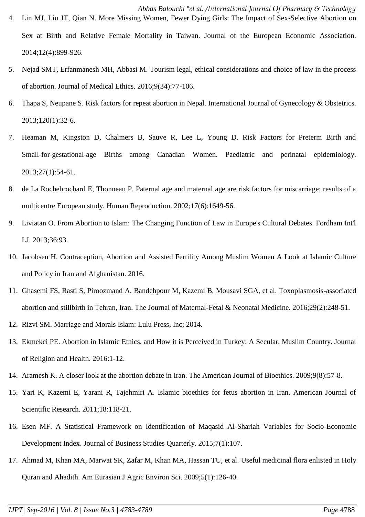- <span id="page-5-1"></span><span id="page-5-0"></span>5. Nejad SMT, Erfanmanesh MH, Abbasi M. Tourism legal, ethical considerations and choice of law in the process of abortion. Journal of Medical Ethics. 2016;9(34):77-106.
- <span id="page-5-2"></span>6. Thapa S, Neupane S. Risk factors for repeat abortion in Nepal. International Journal of Gynecology & Obstetrics. 2013;120(1):32-6.
- 7. Heaman M, Kingston D, Chalmers B, Sauve R, Lee L, Young D. Risk Factors for Preterm Birth and Small-for-gestational-age Births among Canadian Women. Paediatric and perinatal epidemiology. 2013;27(1):54-61.
- 8. de La Rochebrochard E, Thonneau P. Paternal age and maternal age are risk factors for miscarriage; results of a multicentre European study. Human Reproduction. 2002;17(6):1649-56.
- <span id="page-5-3"></span>9. Liviatan O. From Abortion to Islam: The Changing Function of Law in Europe's Cultural Debates. Fordham Int'l LJ. 2013;36:93.
- <span id="page-5-4"></span>10. Jacobsen H. Contraception, Abortion and Assisted Fertility Among Muslim Women A Look at Islamic Culture and Policy in Iran and Afghanistan. 2016.
- <span id="page-5-5"></span>11. Ghasemi FS, Rasti S, Piroozmand A, Bandehpour M, Kazemi B, Mousavi SGA, et al. Toxoplasmosis-associated abortion and stillbirth in Tehran, Iran. The Journal of Maternal-Fetal & Neonatal Medicine. 2016;29(2):248-51.
- <span id="page-5-6"></span>12. Rizvi SM. Marriage and Morals Islam: Lulu Press, Inc; 2014.
- <span id="page-5-7"></span>13. Ekmekci PE. Abortion in Islamic Ethics, and How it is Perceived in Turkey: A Secular, Muslim Country. Journal of Religion and Health. 2016:1-12.
- <span id="page-5-8"></span>14. Aramesh K. A closer look at the abortion debate in Iran. The American Journal of Bioethics. 2009;9(8):57-8.
- <span id="page-5-9"></span>15. Yari K, Kazemi E, Yarani R, Tajehmiri A. Islamic bioethics for fetus abortion in Iran. American Journal of Scientific Research. 2011;18:118-21.
- <span id="page-5-10"></span>16. Esen MF. A Statistical Framework on Identification of Maqasid Al-Shariah Variables for Socio-Economic Development Index. Journal of Business Studies Quarterly. 2015;7(1):107.
- <span id="page-5-11"></span>17. Ahmad M, Khan MA, Marwat SK, Zafar M, Khan MA, Hassan TU, et al. Useful medicinal flora enlisted in Holy Quran and Ahadith. Am Eurasian J Agric Environ Sci. 2009;5(1):126-40.